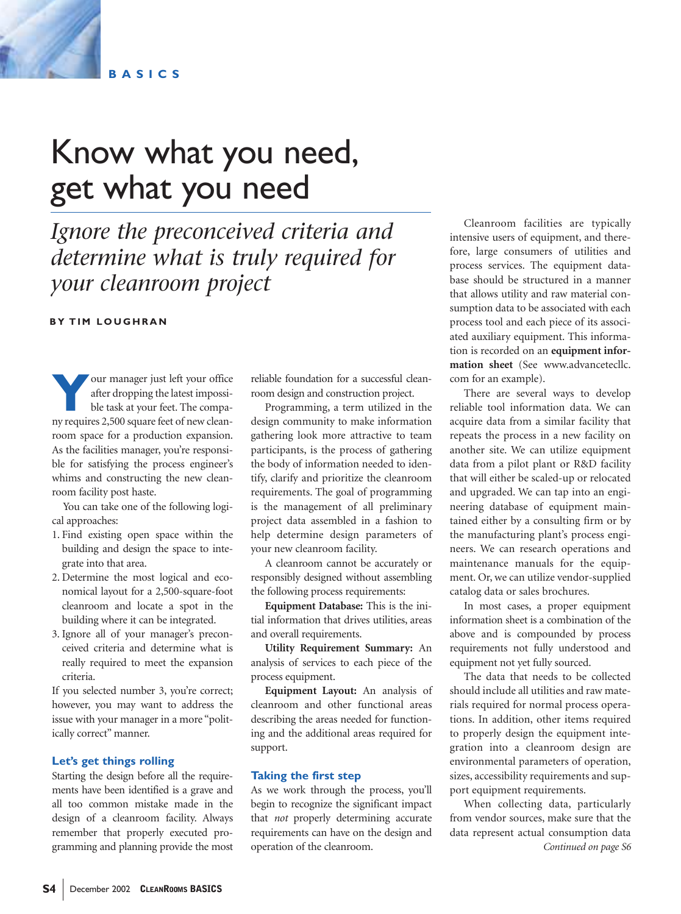

**BASICS**

# Know what you need, get what you need

## *Ignore the preconceived criteria and determine what is truly required for your cleanroom project*

**BY TIM LOUGHRAN**

**Your manager just left your office<br>after dropping the latest impossi-<br>ble task at your feet. The compa-<br>ny requires 2.500 square feet of new clean**after dropping the latest impossible task at your feet. The company requires 2,500 square feet of new cleanroom space for a production expansion. As the facilities manager, you're responsible for satisfying the process engineer's whims and constructing the new cleanroom facility post haste.

You can take one of the following logical approaches:

- 1. Find existing open space within the building and design the space to integrate into that area.
- 2. Determine the most logical and economical layout for a 2,500-square-foot cleanroom and locate a spot in the building where it can be integrated.
- 3. Ignore all of your manager's preconceived criteria and determine what is really required to meet the expansion criteria.

If you selected number 3, you're correct; however, you may want to address the issue with your manager in a more "politically correct" manner.

#### **Let's get things rolling**

Starting the design before all the requirements have been identified is a grave and all too common mistake made in the design of a cleanroom facility. Always remember that properly executed programming and planning provide the most

reliable foundation for a successful cleanroom design and construction project.

Programming, a term utilized in the design community to make information gathering look more attractive to team participants, is the process of gathering the body of information needed to identify, clarify and prioritize the cleanroom requirements. The goal of programming is the management of all preliminary project data assembled in a fashion to help determine design parameters of your new cleanroom facility.

A cleanroom cannot be accurately or responsibly designed without assembling the following process requirements:

**Equipment Database:** This is the initial information that drives utilities, areas and overall requirements.

**Utility Requirement Summary:** An analysis of services to each piece of the process equipment.

**Equipment Layout:** An analysis of cleanroom and other functional areas describing the areas needed for functioning and the additional areas required for support.

#### **Taking the first step**

As we work through the process, you'll begin to recognize the significant impact that *not* properly determining accurate requirements can have on the design and operation of the cleanroom.

Cleanroom facilities are typically intensive users of equipment, and therefore, large consumers of utilities and process services. The equipment database should be structured in a manner that allows utility and raw material consumption data to be associated with each process tool and each piece of its associated auxiliary equipment. This information is recorded on an **equipment information sheet** (See www.advancetecllc. com for an example).

There are several ways to develop reliable tool information data. We can acquire data from a similar facility that repeats the process in a new facility on another site. We can utilize equipment data from a pilot plant or R&D facility that will either be scaled-up or relocated and upgraded. We can tap into an engineering database of equipment maintained either by a consulting firm or by the manufacturing plant's process engineers. We can research operations and maintenance manuals for the equipment. Or, we can utilize vendor-supplied catalog data or sales brochures.

In most cases, a proper equipment information sheet is a combination of the above and is compounded by process requirements not fully understood and equipment not yet fully sourced.

The data that needs to be collected should include all utilities and raw materials required for normal process operations. In addition, other items required to properly design the equipment integration into a cleanroom design are environmental parameters of operation, sizes, accessibility requirements and support equipment requirements.

When collecting data, particularly from vendor sources, make sure that the data represent actual consumption data *Continued on page S6*